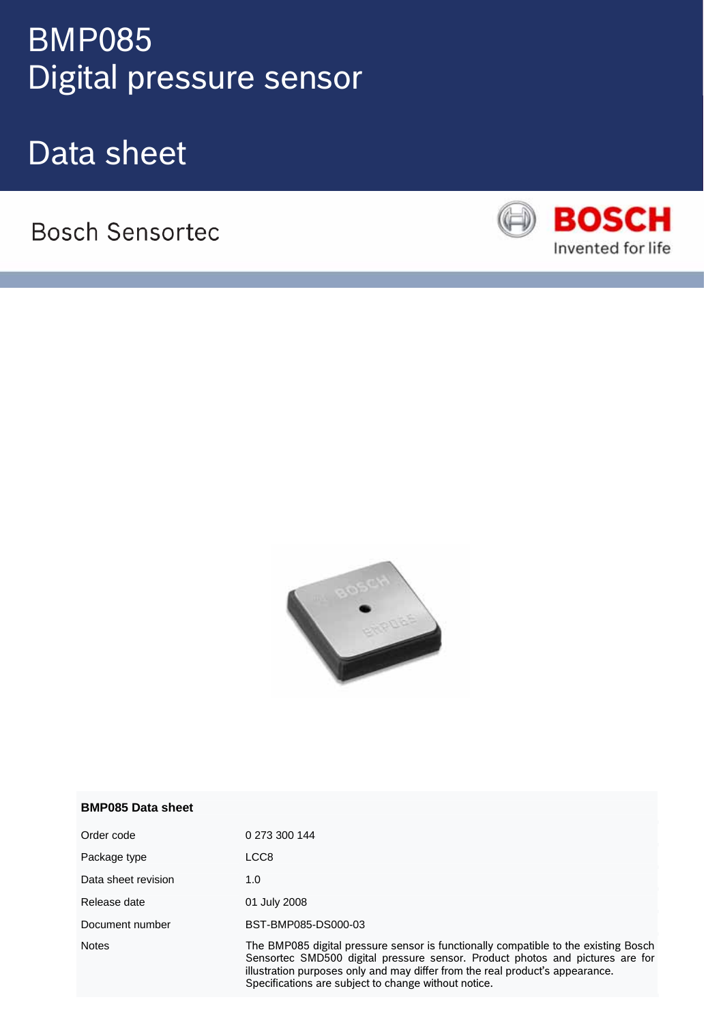# **Digital pressure sensor** and the sensor BMP085

Data sheet

**Bosch Sensortec** 





| <b>BMP085 Data sheet</b> |  |
|--------------------------|--|
|                          |  |

| Order code          | 0 273 300 144                                                                                                                                                                                                                                                                                                 |
|---------------------|---------------------------------------------------------------------------------------------------------------------------------------------------------------------------------------------------------------------------------------------------------------------------------------------------------------|
| Package type        | LCC8                                                                                                                                                                                                                                                                                                          |
| Data sheet revision | 1.0                                                                                                                                                                                                                                                                                                           |
| Release date        | 01 July 2008                                                                                                                                                                                                                                                                                                  |
| Document number     | BST-BMP085-DS000-03                                                                                                                                                                                                                                                                                           |
| <b>Notes</b>        | The BMP085 digital pressure sensor is functionally compatible to the existing Bosch<br>Sensortec SMD500 digital pressure sensor. Product photos and pictures are for<br>illustration purposes only and may differ from the real product's appearance.<br>Specifications are subject to change without notice. |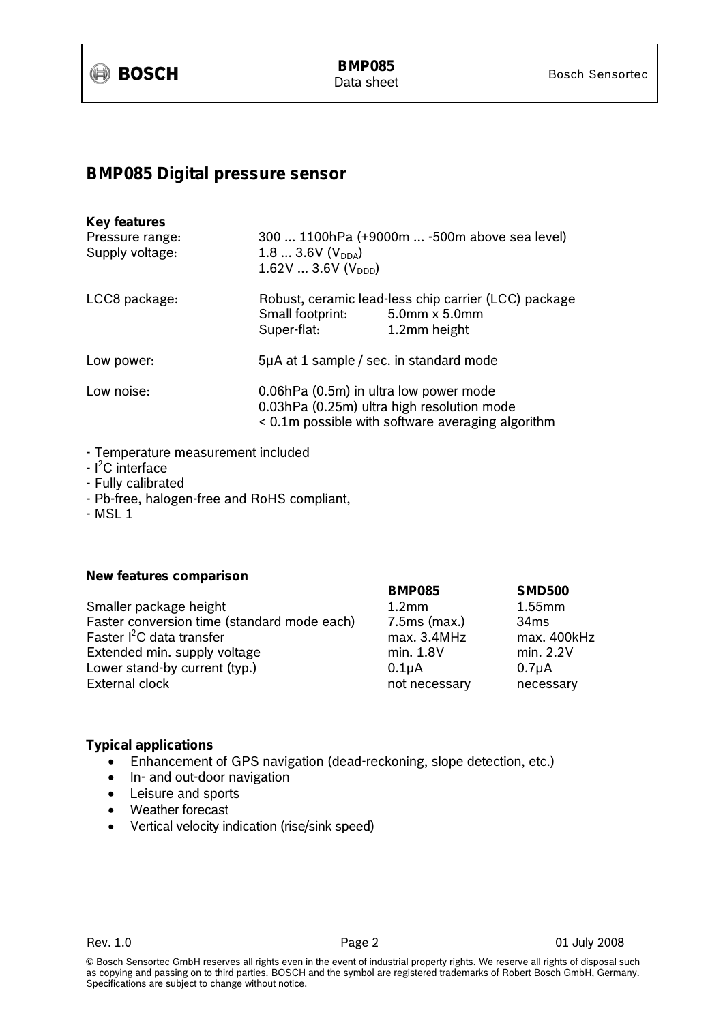

## **BMP085 Digital pressure sensor**

| <b>Key features</b><br>Pressure range:<br>Supply voltage: | $1.83.6V (V_{DDA})$<br>1.62V3.6V(V <sub>DDD</sub> )                                                                                       | 300  1100hPa (+9000m  -500m above sea level)                                          |  |
|-----------------------------------------------------------|-------------------------------------------------------------------------------------------------------------------------------------------|---------------------------------------------------------------------------------------|--|
| LCC8 package:                                             | Small footprint:<br>Super-flat:                                                                                                           | Robust, ceramic lead-less chip carrier (LCC) package<br>5.0mm x 5.0mm<br>1.2mm height |  |
| Low power:                                                | 5µA at 1 sample / sec. in standard mode                                                                                                   |                                                                                       |  |
| Low noise:                                                | 0.06hPa (0.5m) in ultra low power mode<br>0.03hPa (0.25m) ultra high resolution mode<br>< 0.1m possible with software averaging algorithm |                                                                                       |  |

- Temperature measurement included
- $l^2$ C interface
- Fully calibrated
- Pb-free, halogen-free and RoHS compliant,
- MSL 1

#### **New features comparison**

|                                             | <b>BMP085</b>     | <b>SMD500</b> |
|---------------------------------------------|-------------------|---------------|
| Smaller package height                      | 1.2 <sub>mm</sub> | $1.55$ mm     |
| Faster conversion time (standard mode each) | $7.5ms$ (max.)    | 34ms          |
| Faster l <sup>2</sup> C data transfer       | max. 3.4MHz       | max. 400kHz   |
| Extended min. supply voltage                | min. 1.8V         | min. 2.2V     |
| Lower stand-by current (typ.)               | $0.1\muA$         | $0.7\muA$     |
| <b>External clock</b>                       | not necessary     | necessary     |
|                                             |                   |               |

#### **Typical applications**

- Enhancement of GPS navigation (dead-reckoning, slope detection, etc.)
- In- and out-door navigation
- Leisure and sports
- Weather forecast
- Vertical velocity indication (rise/sink speed)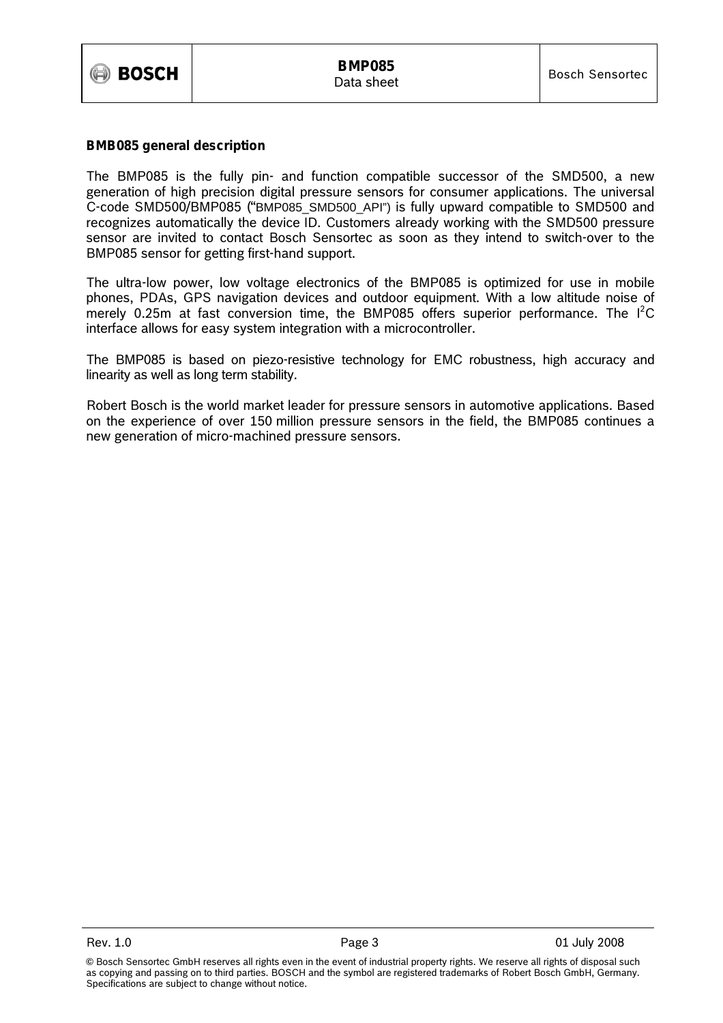

#### **BMB085 general description**

The BMP085 is the fully pin- and function compatible successor of the SMD500, a new generation of high precision digital pressure sensors for consumer applications. The universal C-code SMD500/BMP085 ("BMP085\_SMD500\_API") is fully upward compatible to SMD500 and recognizes automatically the device ID. Customers already working with the SMD500 pressure sensor are invited to contact Bosch Sensortec as soon as they intend to switch-over to the BMP085 sensor for getting first-hand support.

The ultra-low power, low voltage electronics of the BMP085 is optimized for use in mobile phones, PDAs, GPS navigation devices and outdoor equipment. With a low altitude noise of merely 0.25m at fast conversion time, the BMP085 offers superior performance. The  $1^2C$ interface allows for easy system integration with a microcontroller.

The BMP085 is based on piezo-resistive technology for EMC robustness, high accuracy and linearity as well as long term stability.

Robert Bosch is the world market leader for pressure sensors in automotive applications. Based on the experience of over 150 million pressure sensors in the field, the BMP085 continues a new generation of micro-machined pressure sensors.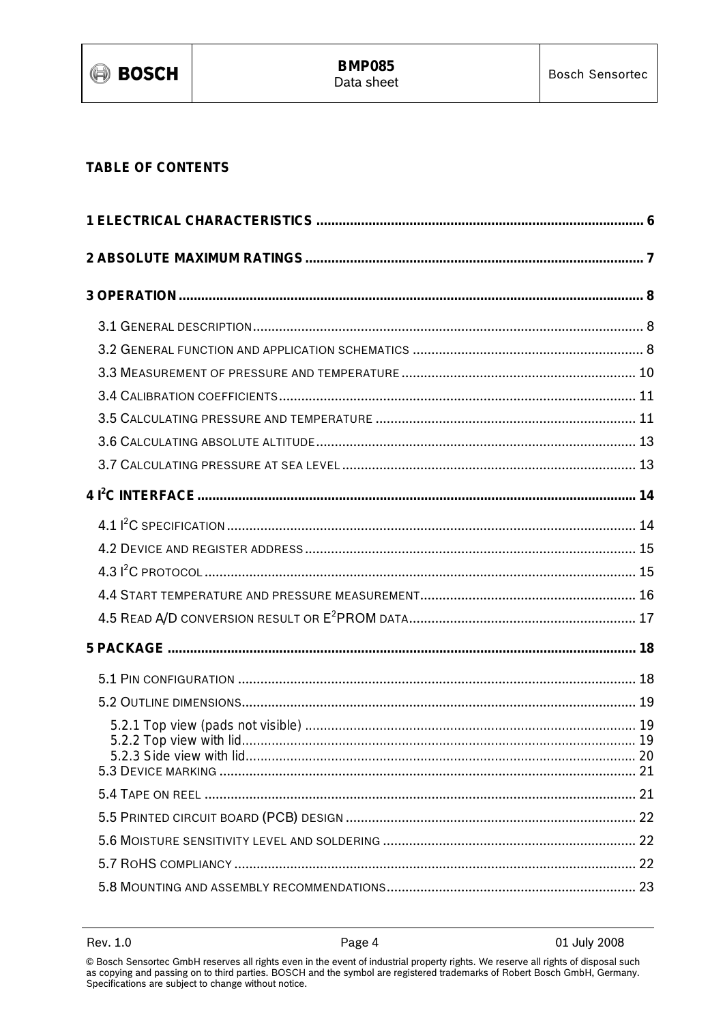

### **TABLE OF CONTENTS**

01 July 2008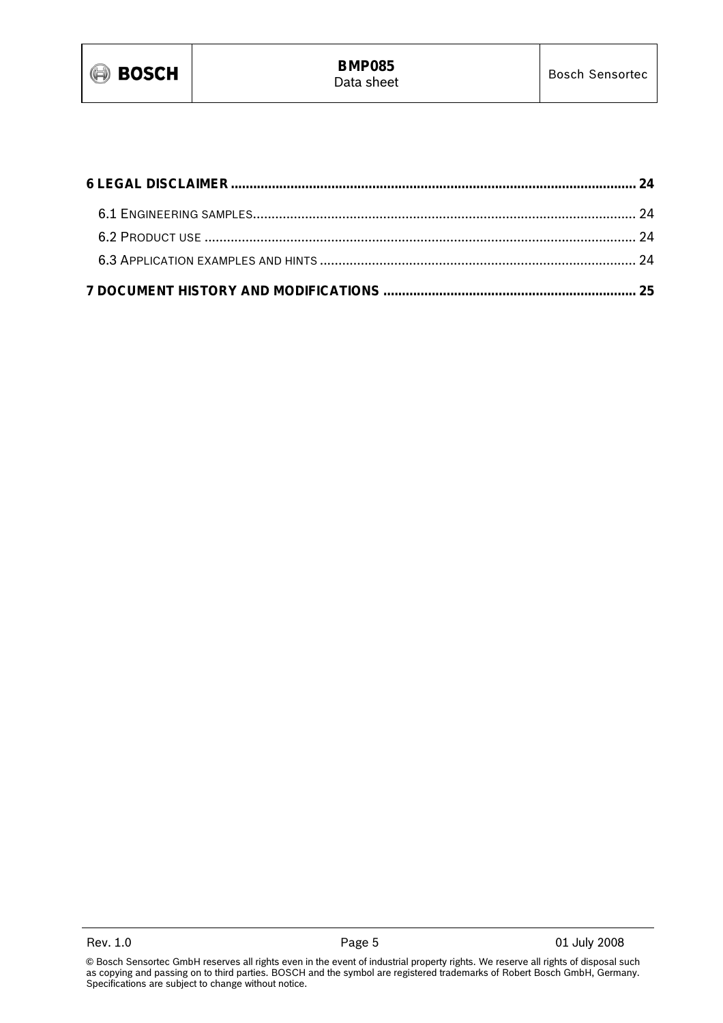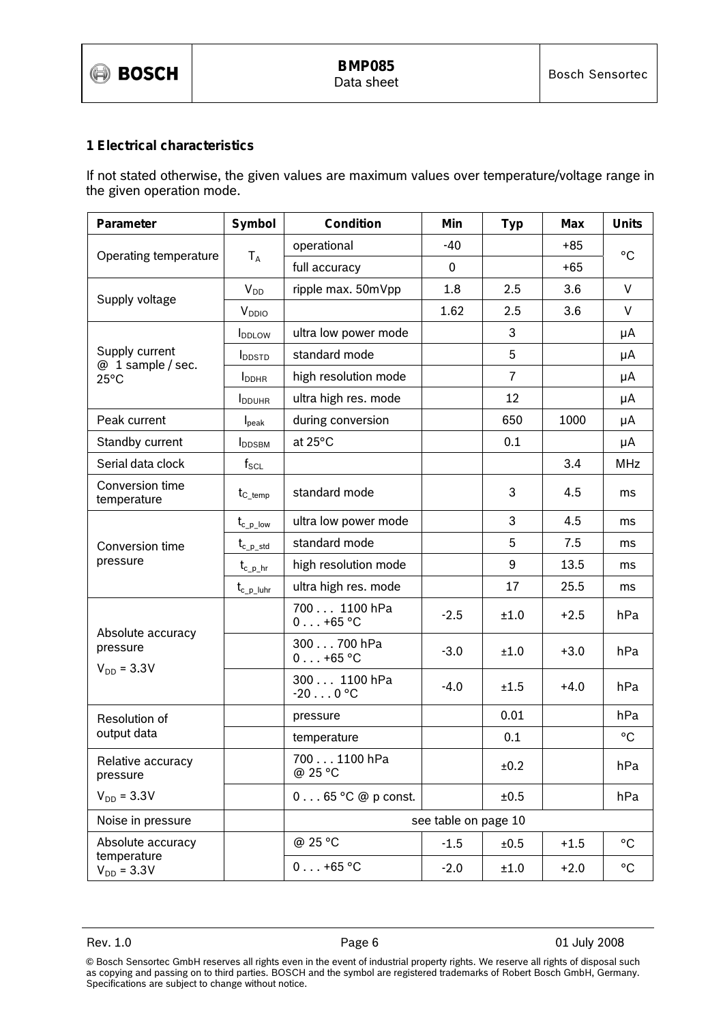

#### **1 Electrical characteristics**

If not stated otherwise, the given values are maximum values over temperature/voltage range in the given operation mode.

| Parameter                            | Symbol                    | Condition                         | Min                  | <b>Typ</b>     | <b>Max</b> | <b>Units</b> |
|--------------------------------------|---------------------------|-----------------------------------|----------------------|----------------|------------|--------------|
|                                      |                           | operational                       | -40                  |                | $+85$      | $^{\circ}$ C |
| Operating temperature                | $T_A$                     | full accuracy                     | 0                    |                | $+65$      |              |
| Supply voltage                       | $V_{DD}$                  | ripple max. 50mVpp                | 1.8                  | 2.5            | 3.6        | $\vee$       |
|                                      | V <sub>DDIO</sub>         |                                   | 1.62                 | 2.5            | 3.6        | V            |
|                                      | <b>I</b> <sub>DDLOW</sub> | ultra low power mode              |                      | 3              |            | μA           |
| Supply current<br>$@1$ sample / sec. | <b>I</b> DDSTD            | standard mode                     |                      | 5              |            | μA           |
| $25^{\circ}$ C                       | I <sub>DDHR</sub>         | high resolution mode              |                      | $\overline{7}$ |            | μA           |
|                                      | <b>I</b> DDUHR            | ultra high res. mode              |                      | 12             |            | μA           |
| Peak current                         | $I_{\text{peak}}$         | during conversion                 |                      | 650            | 1000       | μA           |
| Standby current                      | <b>I</b> DDSBM            | at 25°C                           |                      | 0.1            |            | μA           |
| Serial data clock                    | $f_{\scriptstyle\rm SCL}$ |                                   |                      |                | 3.4        | <b>MHz</b>   |
| Conversion time<br>temperature       | $t_{C_{\text{temp}}}$     | standard mode                     |                      | 3              | 4.5        | ms           |
|                                      | $t_{c_p,low}$             | ultra low power mode              |                      | 3              | 4.5        | ms           |
| Conversion time                      | $t_{c\_p\_std}$           | standard mode                     |                      | 5              | 7.5        | ms           |
| pressure                             | $t_{c\_p\_hr}$            | high resolution mode              |                      | 9              | 13.5       | ms           |
|                                      | $t_{c_p\_luhr}$           | ultra high res. mode              |                      | 17             | 25.5       | ms           |
|                                      |                           | 700 1100 hPa<br>$0 \ldots +65$ °C | $-2.5$               | ±1.0           | $+2.5$     | hPa          |
| Absolute accuracy<br>pressure        |                           | 300 700 hPa<br>$0 \ldots +65$ °C  | $-3.0$               | ±1.0           | $+3.0$     | hPa          |
| $V_{DD} = 3.3V$                      |                           | 300 1100 hPa<br>$-200$ °C         | $-4.0$               | ±1.5           | $+4.0$     | hPa          |
| Resolution of                        |                           | pressure                          |                      | 0.01           |            | hPa          |
| output data                          |                           | temperature                       |                      | 0.1            |            | $^{\circ}$ C |
| Relative accuracy<br>pressure        |                           | 700 1100 hPa<br>@ 25 °C           |                      | ±0.2           |            | hPa          |
| $V_{DD} = 3.3V$                      |                           | $0 \ldots 65$ °C @ p const.       |                      | ±0.5           |            | hPa          |
| Noise in pressure                    |                           |                                   | see table on page 10 |                |            |              |
| Absolute accuracy                    |                           | @ 25 °C                           | $-1.5$               | ±0.5           | $+1.5$     | °C           |
| temperature<br>$V_{DD} = 3.3V$       |                           | $0 \ldots +65$ °C                 | $-2.0$               | ±1.0           | $+2.0$     | $^{\circ}$ C |

<sup>©</sup> Bosch Sensortec GmbH reserves all rights even in the event of industrial property rights. We reserve all rights of disposal such as copying and passing on to third parties. BOSCH and the symbol are registered trademarks of Robert Bosch GmbH, Germany. Specifications are subject to change without notice.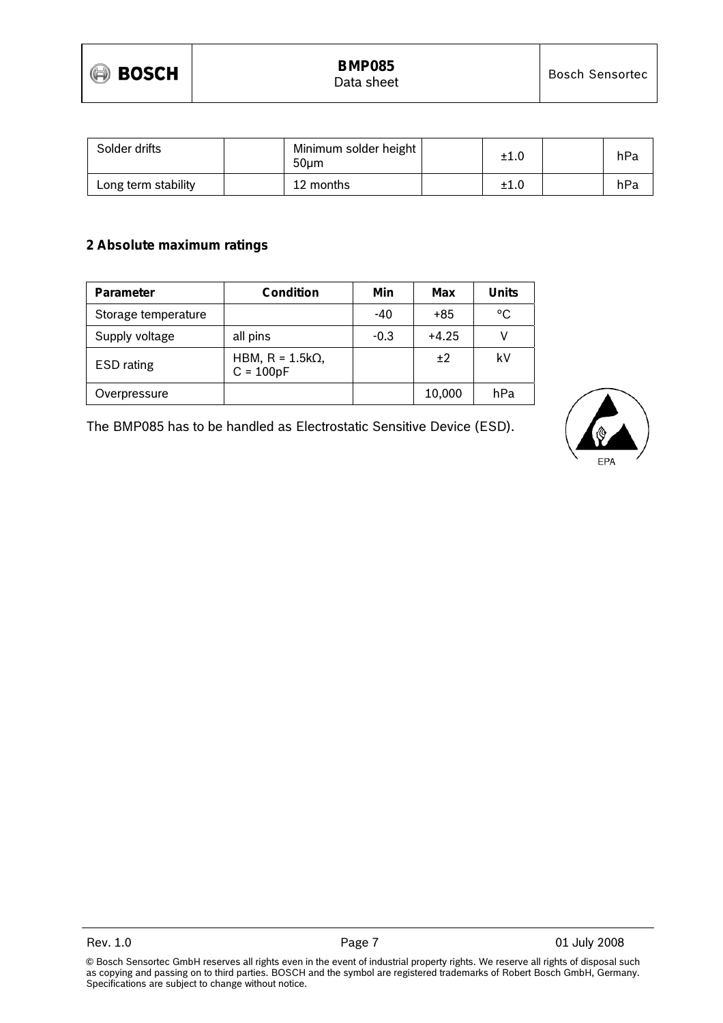

| Solder drifts       | Minimum solder height<br>50um | ±1.0 | hPa |
|---------------------|-------------------------------|------|-----|
| Long term stability | 12 months                     | ±1.0 | hPa |

#### **2 Absolute maximum ratings**

| Parameter           | Condition                              | Min    | Max     | <b>Units</b> |
|---------------------|----------------------------------------|--------|---------|--------------|
| Storage temperature |                                        | -40    | +85     | °C           |
| Supply voltage      | all pins                               | $-0.3$ | $+4.25$ |              |
| <b>ESD</b> rating   | HBM, $R = 1.5k\Omega$ ,<br>$C = 100pF$ |        | ±2      | k٧           |
| Overpressure        |                                        |        | 10,000  | hPa          |

The BMP085 has to be handled as Electrostatic Sensitive Device (ESD).

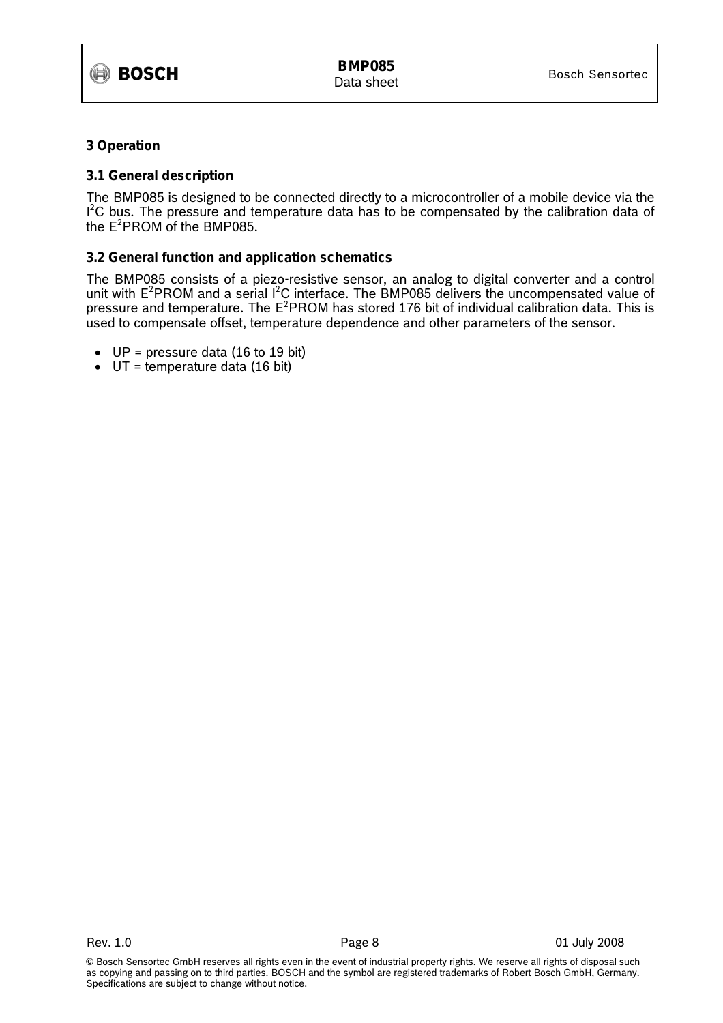

#### **3 Operation**

#### **3.1 General description**

The BMP085 is designed to be connected directly to a microcontroller of a mobile device via the  $I<sup>2</sup>C$  bus. The pressure and temperature data has to be compensated by the calibration data of the  $E^2$ PROM of the BMP085.

#### **3.2 General function and application schematics**

The BMP085 consists of a piezo-resistive sensor, an analog to digital converter and a control unit with  $E^2$ PROM and a serial  $I^2C$  interface. The BMP085 delivers the uncompensated value of pressure and temperature. The  $E^2$ PROM has stored 176 bit of individual calibration data. This is used to compensate offset, temperature dependence and other parameters of the sensor.

- $UP = pressure$  data (16 to 19 bit)
- $\bullet$  UT = temperature data (16 bit)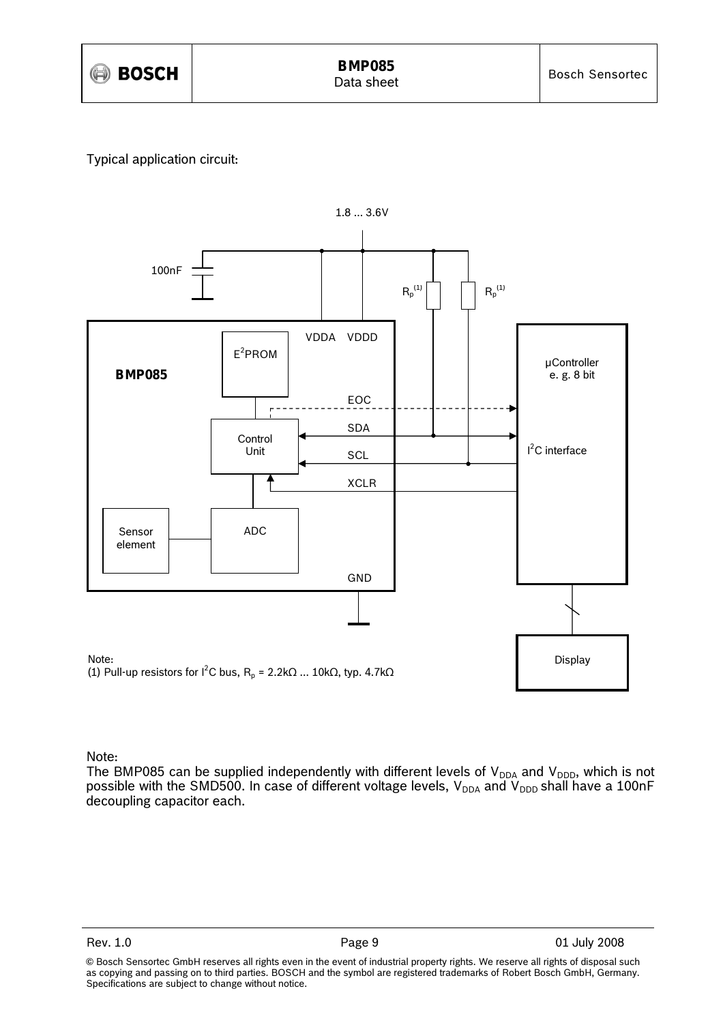

### Typical application circuit:



## Note:

The BMP085 can be supplied independently with different levels of  $V_{DDA}$  and  $V_{DDD}$ , which is not possible with the SMD500. In case of different voltage levels,  $\rm V_{DDA}$  and  $\rm V_{DDD}$  shall have a 100nF decoupling capacitor each.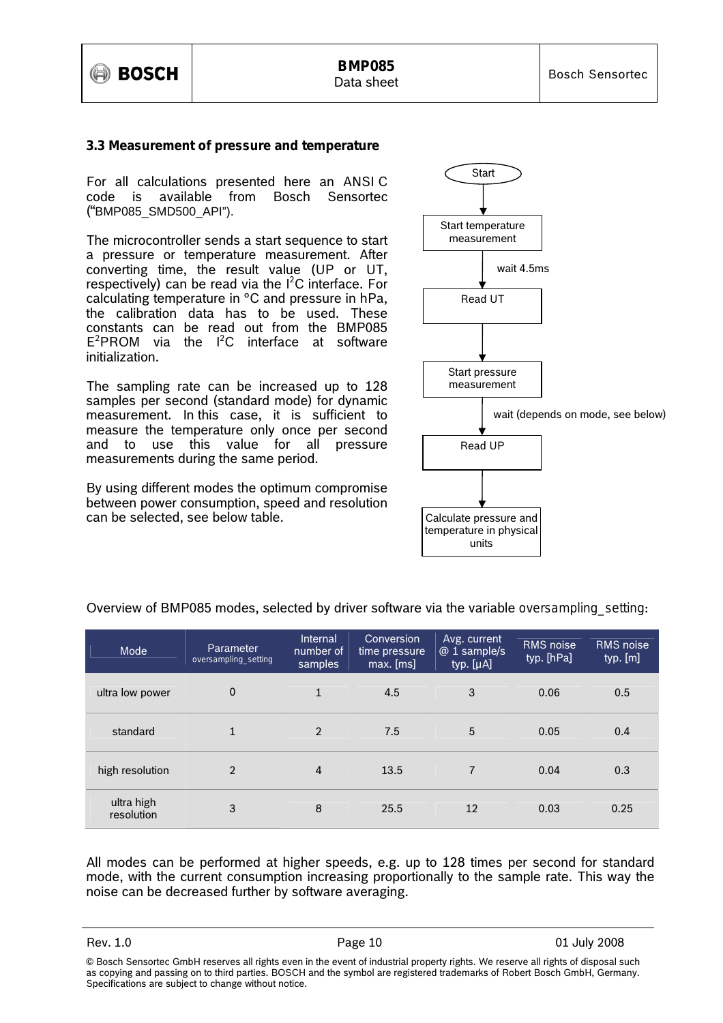

#### **3.3 Measurement of pressure and temperature**

For all calculations presented here an ANSI C code is available from Bosch Sensortec ("BMP085\_SMD500\_API").

The microcontroller sends a start sequence to start a pressure or temperature measurement. After converting time, the result value (UP or UT, respectively) can be read via the  $I^2C$  interface. For calculating temperature in °C and pressure in hPa, the calibration data has to be used. These constants can be read out from the BMP085  $E^2$ PROM via the  $I^2C$  interface at software initialization.

The sampling rate can be increased up to 128 samples per second (standard mode) for dynamic measurement. In this case, it is sufficient to measure the temperature only once per second and to use this value for all pressure measurements during the same period.

By using different modes the optimum compromise between power consumption, speed and resolution can be selected, see below table.



| Mode                     | Parameter<br>oversampling_setting | Internal<br>number of<br>samples | Conversion<br>time pressure<br>max. [ms] | Avg. current<br>@ 1 sample/s<br>typ. [µA] | <b>RMS</b> noise<br>typ. [hPa] | RMS noise<br>typ. [m] |
|--------------------------|-----------------------------------|----------------------------------|------------------------------------------|-------------------------------------------|--------------------------------|-----------------------|
| ultra low power          | $\mathbf 0$                       | $\mathbf{1}$                     | 4.5                                      | 3                                         | 0.06                           | 0.5                   |
| standard                 | 1                                 | $\overline{2}$                   | 7.5                                      | 5                                         | 0.05                           | 0.4                   |
| high resolution          | $\overline{2}$                    | 4                                | 13.5                                     | $\overline{7}$                            | 0.04                           | 0.3                   |
| ultra high<br>resolution | 3                                 | 8                                | 25.5                                     | 12                                        | 0.03                           | 0.25                  |

Overview of BMP085 modes, selected by driver software via the variable *oversampling\_setting*:

All modes can be performed at higher speeds, e.g. up to 128 times per second for standard mode, with the current consumption increasing proportionally to the sample rate. This way the noise can be decreased further by software averaging.

<sup>©</sup> Bosch Sensortec GmbH reserves all rights even in the event of industrial property rights. We reserve all rights of disposal such as copying and passing on to third parties. BOSCH and the symbol are registered trademarks of Robert Bosch GmbH, Germany. Specifications are subject to change without notice.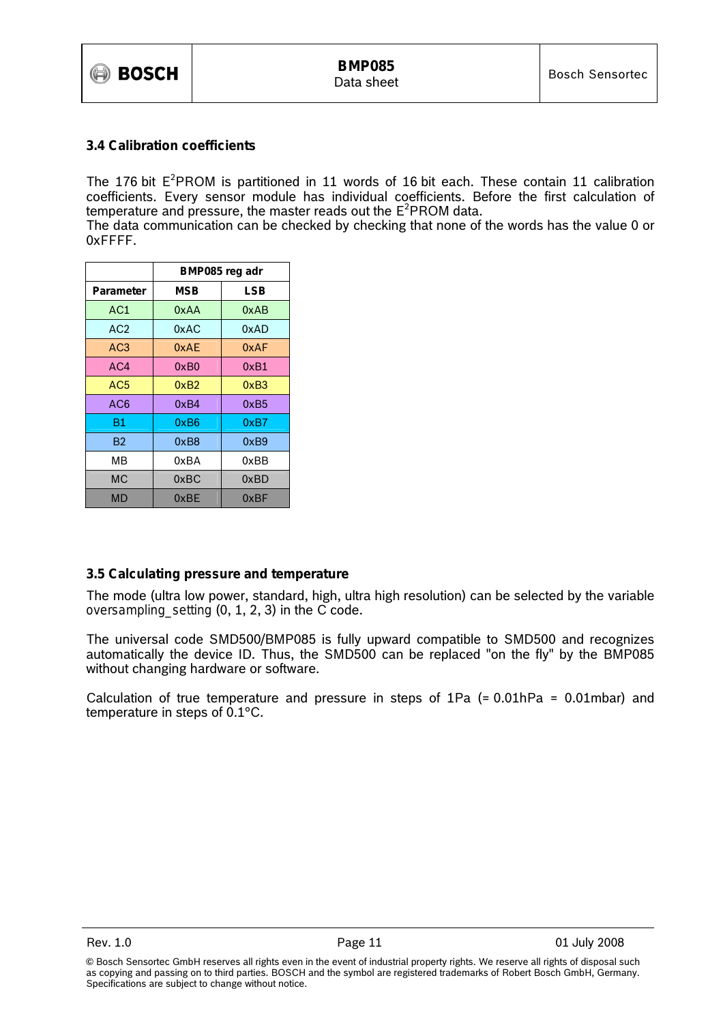#### **3.4 Calibration coefficients**

The 176 bit  $E^2$ PROM is partitioned in 11 words of 16 bit each. These contain 11 calibration coefficients. Every sensor module has individual coefficients. Before the first calculation of temperature and pressure, the master reads out the  $E^2$ PROM data.

The data communication can be checked by checking that none of the words has the value 0 or 0xFFFF.

|                 | BMP085 reg adr |      |  |  |
|-----------------|----------------|------|--|--|
| Parameter       | <b>MSB</b>     | LSB  |  |  |
| AC1             | 0xAA           | 0xAB |  |  |
| AC <sub>2</sub> | 0xAC           | 0xAD |  |  |
| AC <sub>3</sub> | 0xAF           | 0xAF |  |  |
| AC4             | 0xB0           | 0xB1 |  |  |
| AC <sub>5</sub> | 0xB2           | 0xB3 |  |  |
| AC6             | 0xB4           | 0xB5 |  |  |
| Β1              | 0xB6           | 0xB7 |  |  |
| B2              | 0xB8           | 0xB9 |  |  |
| MВ              | 0xBA           | 0xBB |  |  |
| МC              | 0xBC           | 0xBD |  |  |
| MD              | 0xBE           | 0xBF |  |  |

#### **3.5 Calculating pressure and temperature**

The mode (ultra low power, standard, high, ultra high resolution) can be selected by the variable *oversampling\_setting* (0, 1, 2, 3) in the C code.

The universal code SMD500/BMP085 is fully upward compatible to SMD500 and recognizes automatically the device ID. Thus, the SMD500 can be replaced "on the fly" by the BMP085 without changing hardware or software.

Calculation of true temperature and pressure in steps of 1Pa (= 0.01hPa = 0.01mbar) and temperature in steps of 0.1°C.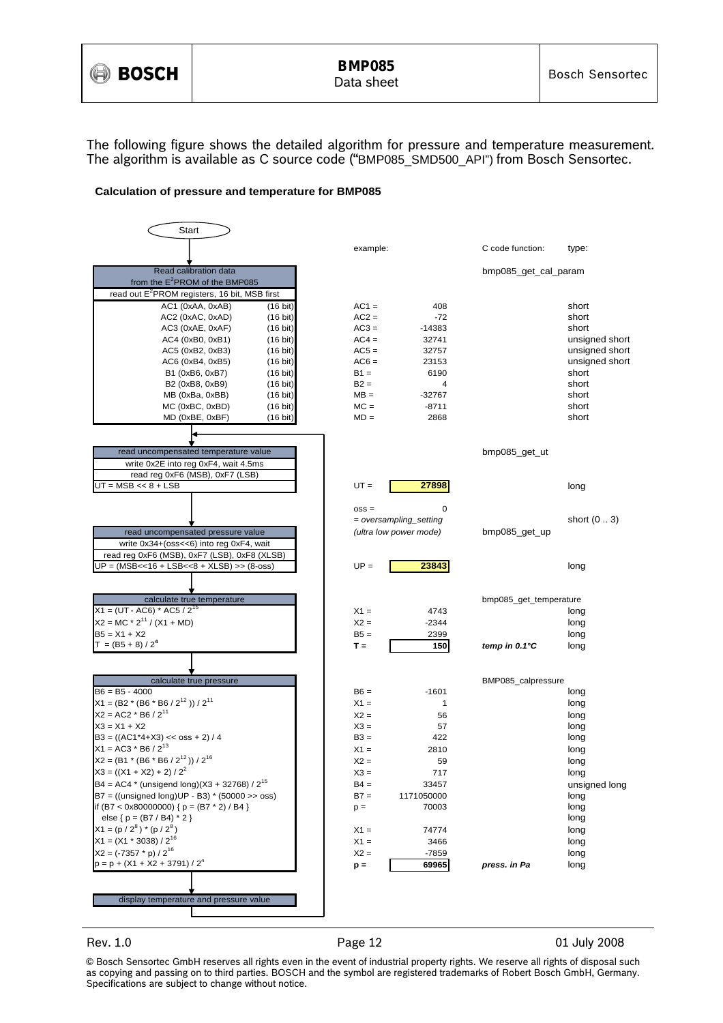

The following figure shows the detailed algorithm for pressure and temperature measurement. The algorithm is available as C source code ("BMP085\_SMD500\_API") from Bosch Sensortec.

#### **Calculation of pressure and temperature for BMP085**



Rev. 1.0 **Page 12** Page 12 01 July 2008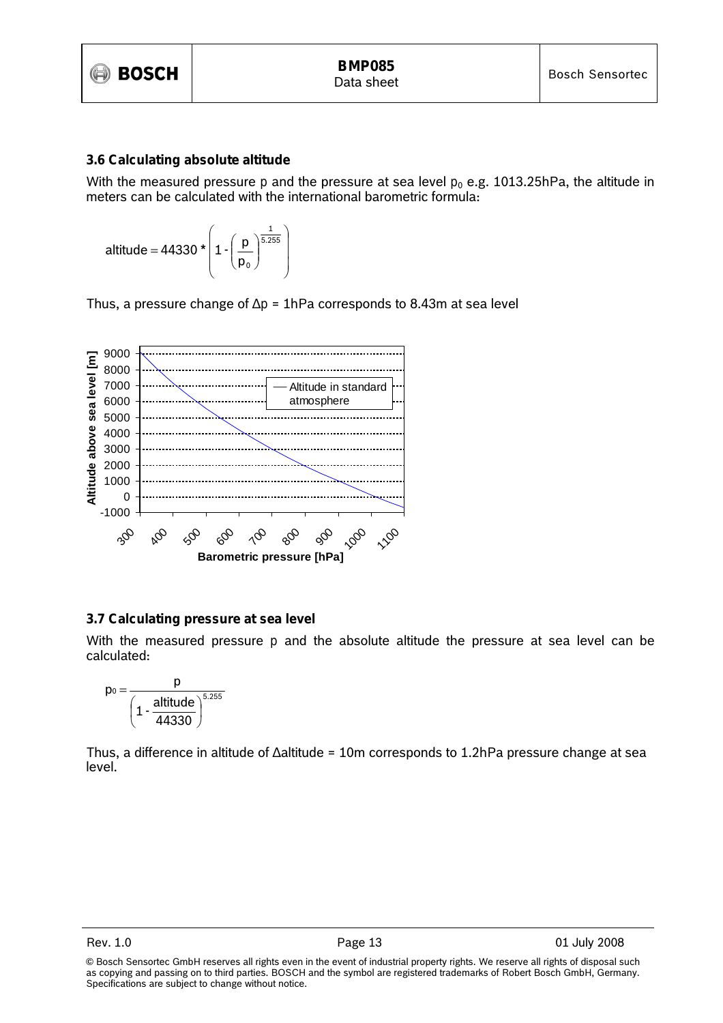

#### **3.6 Calculating absolute altitude**

With the measured pressure  $p$  and the pressure at sea level  $p_0$  e.g. 1013.25hPa, the altitude in meters can be calculated with the international barometric formula:

$$
\text{altitude} = 44330 \star \left( 1 \cdot \left( \frac{p}{p_0} \right)^{\frac{1}{5.255}} \right)
$$

Thus, a pressure change of ∆*p* = 1hPa corresponds to 8.43m at sea level



#### **3.7 Calculating pressure at sea level**

With the measured pressure *p* and the absolute altitude the pressure at sea level can be calculated:

$$
p_0 = \frac{p}{\left(1 - \frac{altitude}{44330}\right)^{5.255}}
$$

Thus, a difference in altitude of ∆altitude = 10m corresponds to 1.2hPa pressure change at sea level.

<sup>©</sup> Bosch Sensortec GmbH reserves all rights even in the event of industrial property rights. We reserve all rights of disposal such as copying and passing on to third parties. BOSCH and the symbol are registered trademarks of Robert Bosch GmbH, Germany. Specifications are subject to change without notice.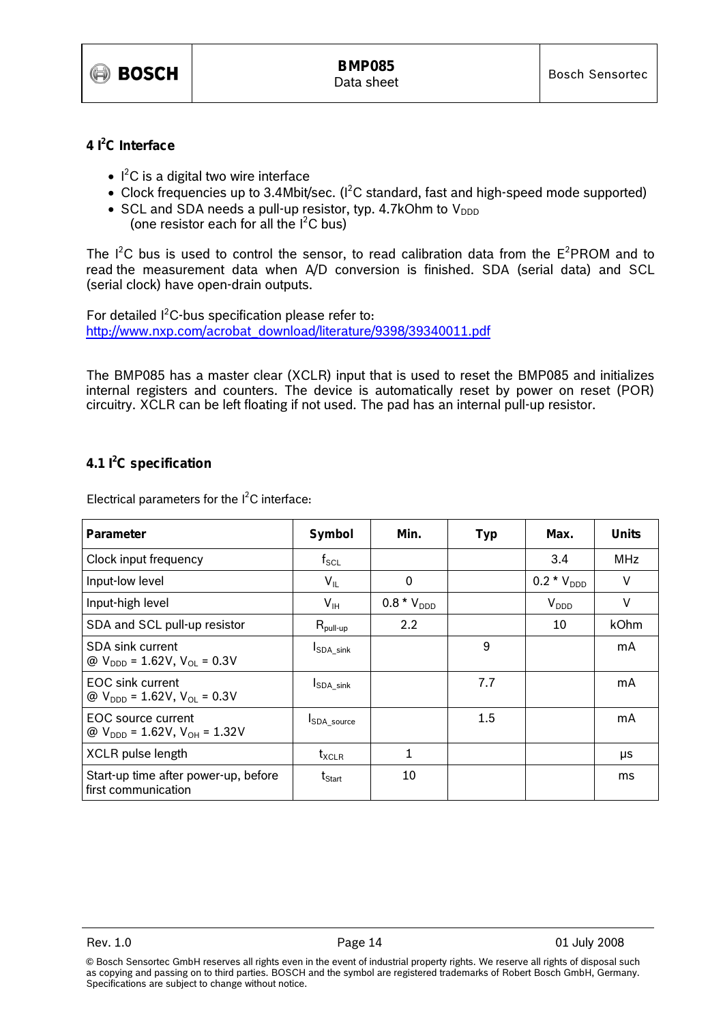

#### **4 I2 C Interface**

- $\bullet$   $\mathsf{I}^2\mathsf{C}$  is a digital two wire interface
- Clock frequencies up to 3.4Mbit/sec. ( $l^2C$  standard, fast and high-speed mode supported)
- SCL and SDA needs a pull-up resistor, typ. 4.7kOhm to  $V_{DDD}$ (one resistor each for all the  $I^2C$  bus)

The  $I^2C$  bus is used to control the sensor, to read calibration data from the  $E^2PROM$  and to read the measurement data when A/D conversion is finished. SDA (serial data) and SCL (serial clock) have open-drain outputs.

For detailed  $l^2C$ -bus specification please refer to: http://www.nxp.com/acrobat\_download/literature/9398/39340011.pdf

The BMP085 has a master clear (XCLR) input that is used to reset the BMP085 and initializes internal registers and counters. The device is automatically reset by power on reset (POR) circuitry. XCLR can be left floating if not used. The pad has an internal pull-up resistor.

### **4.1 I2 C specification**

Electrical parameters for the  $I^2C$  interface:

| Parameter                                                                   | Symbol                          | Min.            | <b>Typ</b> | Max.                     | <b>Units</b> |
|-----------------------------------------------------------------------------|---------------------------------|-----------------|------------|--------------------------|--------------|
| Clock input frequency                                                       | $f_{\mathsf{SCL}}$              |                 |            | 3.4                      | <b>MHz</b>   |
| Input-low level                                                             | $V_{IL}$                        | $\mathbf 0$     |            | 0.2 $*$ $V_{\text{DDD}}$ | V            |
| Input-high level                                                            | $V_{\text{IH}}$                 | $0.8 * V_{DDD}$ |            | $V_{DDD}$                | $\vee$       |
| SDA and SCL pull-up resistor                                                | $\mathsf{R}_{\mathsf{pull-up}}$ | 2.2             |            | 10                       | kOhm         |
| <b>SDA sink current</b><br>@ $V_{\text{DDD}} = 1.62V, V_{\text{OL}} = 0.3V$ | <b>I</b> SDA sink               |                 | 9          |                          | mA           |
| <b>EOC</b> sink current<br>@ $V_{\text{DDD}} = 1.62V, V_{\text{OL}} = 0.3V$ | <b>ISDA sink</b>                |                 | 7.7        |                          | mA           |
| EOC source current<br>@ $V_{\text{DDD}}$ = 1.62V, $V_{\text{OH}}$ = 1.32V   | <b>ISDA</b> source              |                 | 1.5        |                          | mA           |
| XCLR pulse length                                                           | $t_{\sf XCLR}$                  | 1               |            |                          | μs           |
| Start-up time after power-up, before<br>first communication                 | $t_{Start}$                     | 10              |            |                          | ms           |

<sup>©</sup> Bosch Sensortec GmbH reserves all rights even in the event of industrial property rights. We reserve all rights of disposal such as copying and passing on to third parties. BOSCH and the symbol are registered trademarks of Robert Bosch GmbH, Germany. Specifications are subject to change without notice.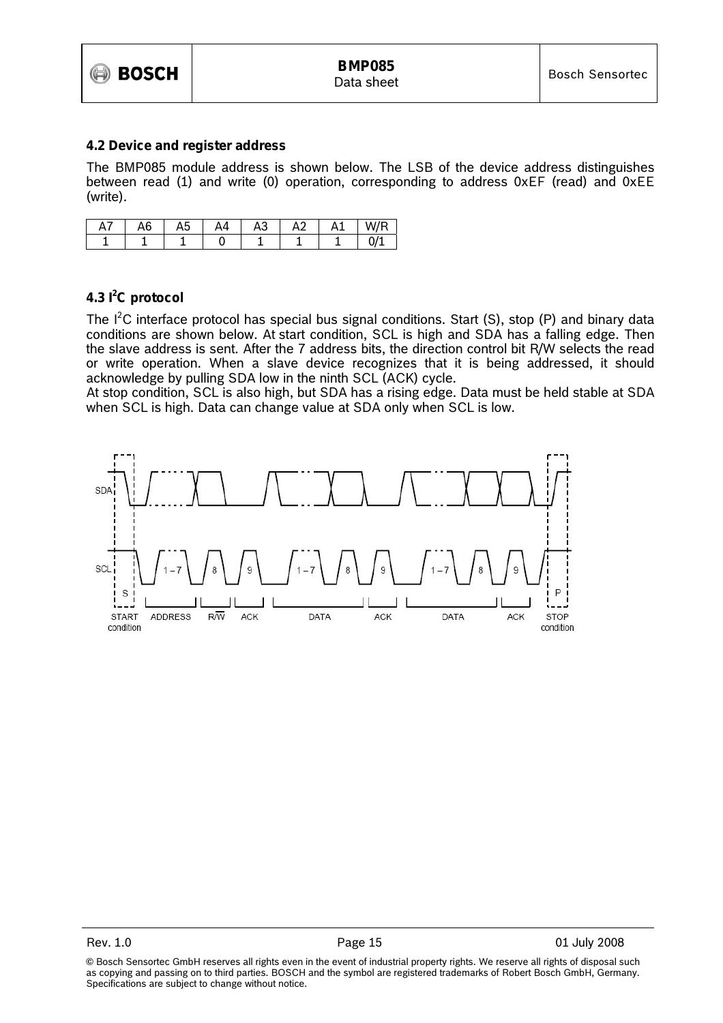

#### **4.2 Device and register address**

The BMP085 module address is shown below. The LSB of the device address distinguishes between read (1) and write (0) operation, corresponding to address 0xEF (read) and 0xEE (write).

| Αī | A <sub>6</sub> | A5 | A4 | ◠<br>AЗ | A <sub>2</sub> | A1 | W/R |
|----|----------------|----|----|---------|----------------|----|-----|
|    |                |    |    |         |                |    |     |

#### **4.3 I2 C protocol**

The  $I^2C$  interface protocol has special bus signal conditions. Start (S), stop (P) and binary data conditions are shown below. At start condition, SCL is high and SDA has a falling edge. Then the slave address is sent. After the 7 address bits, the direction control bit R/W selects the read or write operation. When a slave device recognizes that it is being addressed, it should acknowledge by pulling SDA low in the ninth SCL (ACK) cycle.

At stop condition, SCL is also high, but SDA has a rising edge. Data must be held stable at SDA when SCL is high. Data can change value at SDA only when SCL is low.

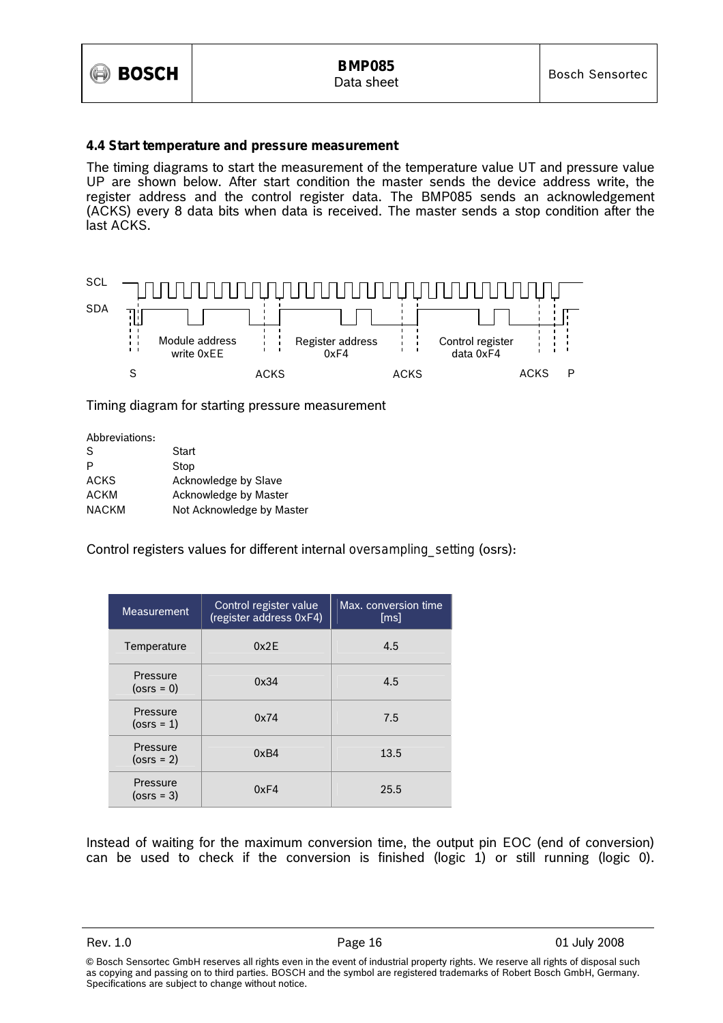

#### **4.4 Start temperature and pressure measurement**

The timing diagrams to start the measurement of the temperature value UT and pressure value UP are shown below. After start condition the master sends the device address write, the register address and the control register data. The BMP085 sends an acknowledgement (ACKS) every 8 data bits when data is received. The master sends a stop condition after the last ACKS.



Timing diagram for starting pressure measurement

| Abbreviations: |                           |
|----------------|---------------------------|
| S              | Start                     |
| P              | Stop                      |
| ACKS           | Acknowledge by Slave      |
| ACKM           | Acknowledge by Master     |
| <b>NACKM</b>   | Not Acknowledge by Master |

Control registers values for different internal *oversampling\_setting* (osrs):

| <b>Measurement</b>        | Control register value<br>(register address 0xF4) | Max. conversion time<br>[ms] |
|---------------------------|---------------------------------------------------|------------------------------|
| Temperature               | 0x2E                                              | 4.5                          |
| Pressure<br>$(0$ srs = 0) | 0x34                                              | 4.5                          |
| Pressure<br>$(osrs = 1)$  | 0x74                                              | 7.5                          |
| Pressure<br>$(0srs = 2)$  | 0xB4                                              | 13.5                         |
| Pressure<br>$(0srs = 3)$  | 0xF4                                              | 25.5                         |

Instead of waiting for the maximum conversion time, the output pin EOC (end of conversion) can be used to check if the conversion is finished (logic 1) or still running (logic 0).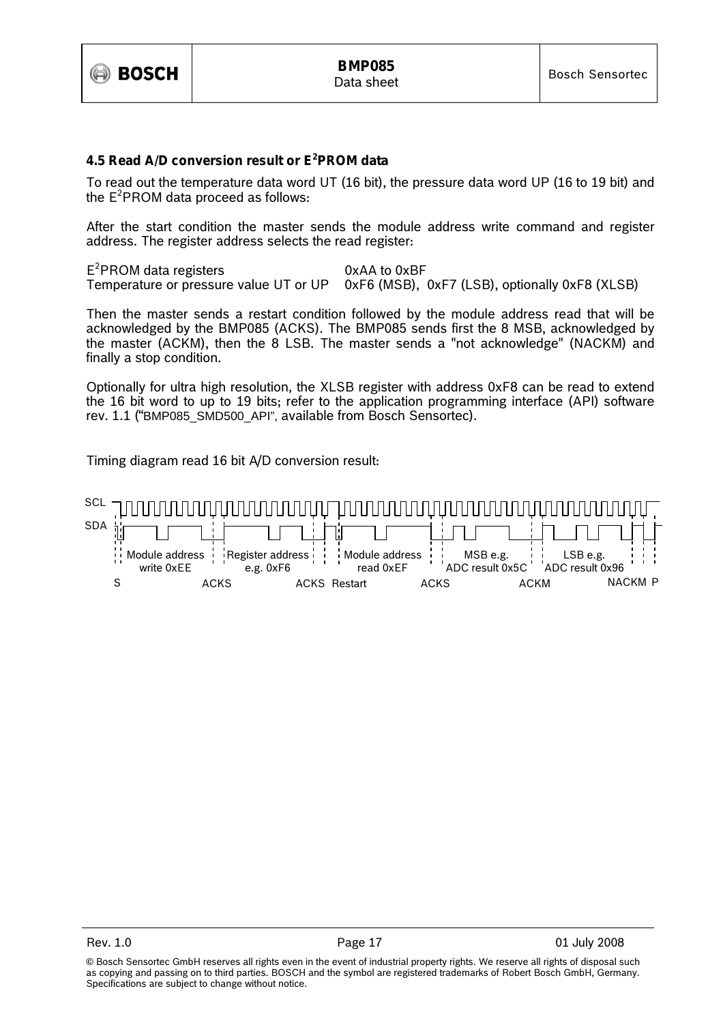

#### **4.5 Read A/D conversion result or E<sup>2</sup> PROM data**

To read out the temperature data word UT (16 bit), the pressure data word UP (16 to 19 bit) and the  $E^2$ PROM data proceed as follows:

After the start condition the master sends the module address write command and register address. The register address selects the read register:

 $E^2$ PROM data registers  $0xAA$  to  $0xBF$ Temperature or pressure value UT or UP 0xF6 (MSB), 0xF7 (LSB), optionally 0xF8 (XLSB)

Then the master sends a restart condition followed by the module address read that will be acknowledged by the BMP085 (ACKS). The BMP085 sends first the 8 MSB, acknowledged by the master (ACKM), then the 8 LSB. The master sends a "not acknowledge" (NACKM) and finally a stop condition.

Optionally for ultra high resolution, the XLSB register with address 0xF8 can be read to extend the 16 bit word to up to 19 bits; refer to the application programming interface (API) software rev. 1.1 ("BMP085\_SMD500\_API", available from Bosch Sensortec).

Timing diagram read 16 bit A/D conversion result:

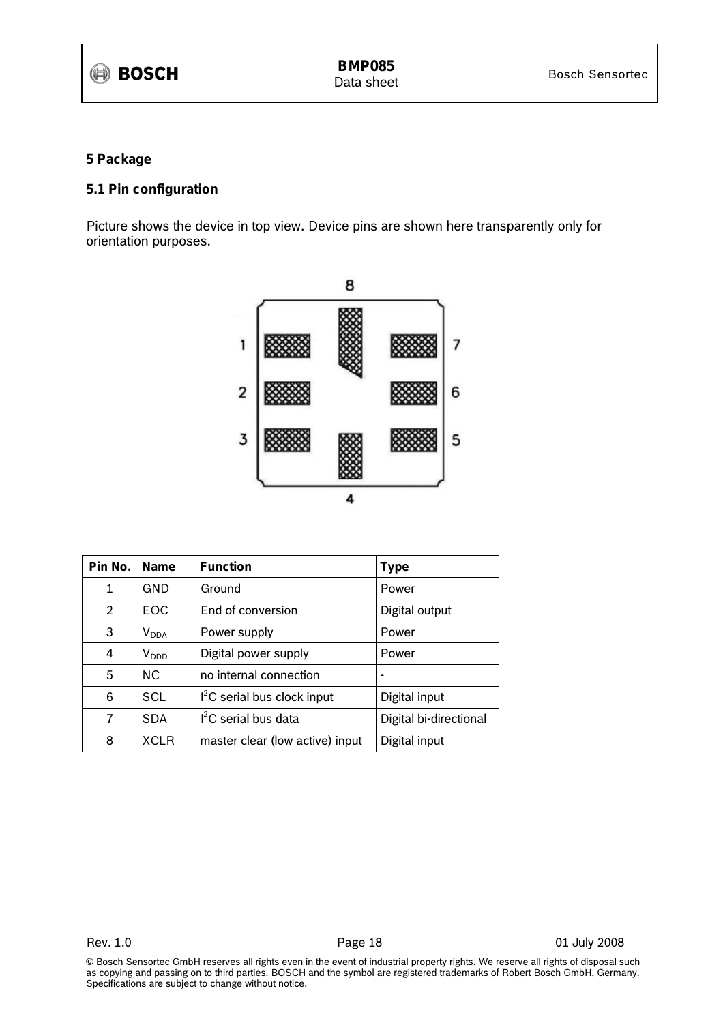#### **5 Package**

#### **5.1 Pin configuration**

Picture shows the device in top view. Device pins are shown here transparently only for orientation purposes.



| Pin No.        | <b>Name</b> | <b>Function</b>                 | Type                   |
|----------------|-------------|---------------------------------|------------------------|
| 1              | GND         | Ground                          | Power                  |
| $\overline{2}$ | EOC.        | End of conversion               | Digital output         |
| 3              | $V_{DDA}$   | Power supply                    | Power                  |
| 4              | $V_{DDD}$   | Digital power supply            | Power                  |
| 5              | NC.         | no internal connection          |                        |
| 6              | SCL         | $I2C$ serial bus clock input    | Digital input          |
| 7              | <b>SDA</b>  | $I2C$ serial bus data           | Digital bi-directional |
| 8              | <b>XCLR</b> | master clear (low active) input | Digital input          |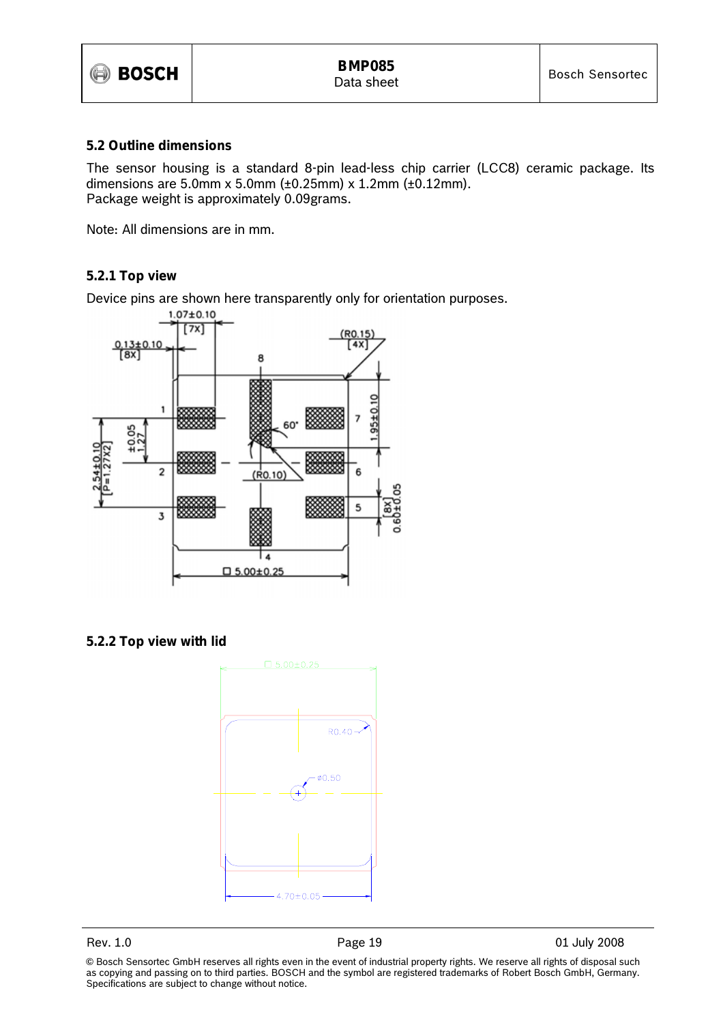

#### **5.2 Outline dimensions**

The sensor housing is a standard 8-pin lead-less chip carrier (LCC8) ceramic package. Its dimensions are 5.0mm x 5.0mm (±0.25mm) x 1.2mm (±0.12mm). Package weight is approximately 0.09grams.

Note: All dimensions are in mm.

#### **5.2.1 Top view**

Device pins are shown here transparently only for orientation purposes.



**5.2.2 Top view with lid** 



Rev. 1.0 **Page 19 Page 19 Page 19 01 July 2008**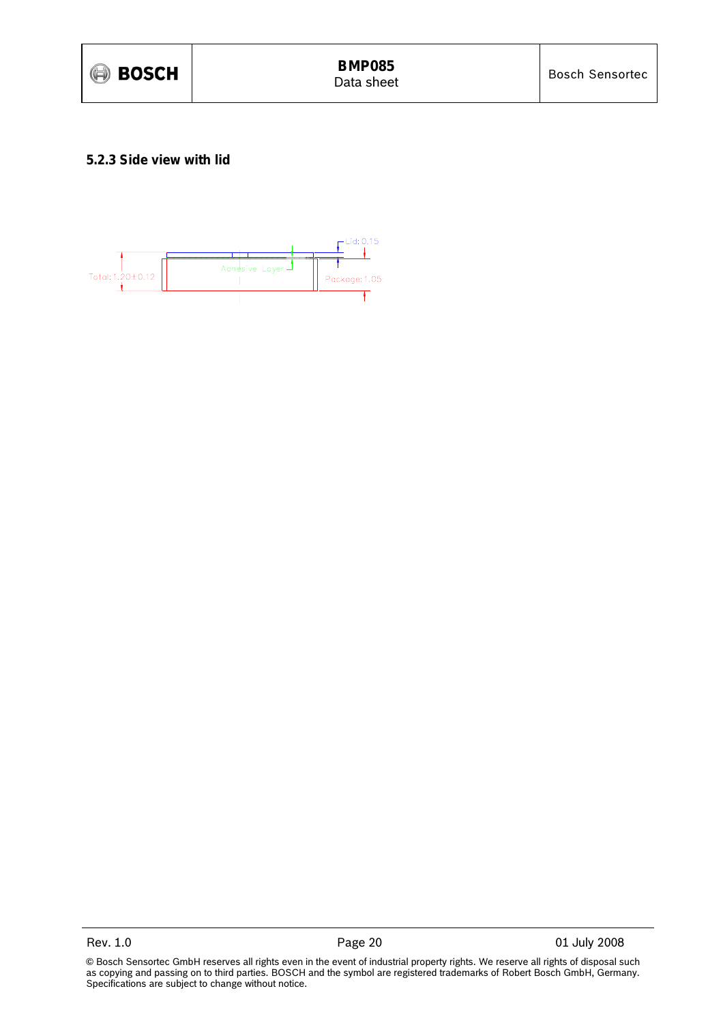

#### **5.2.3 Side view with lid**

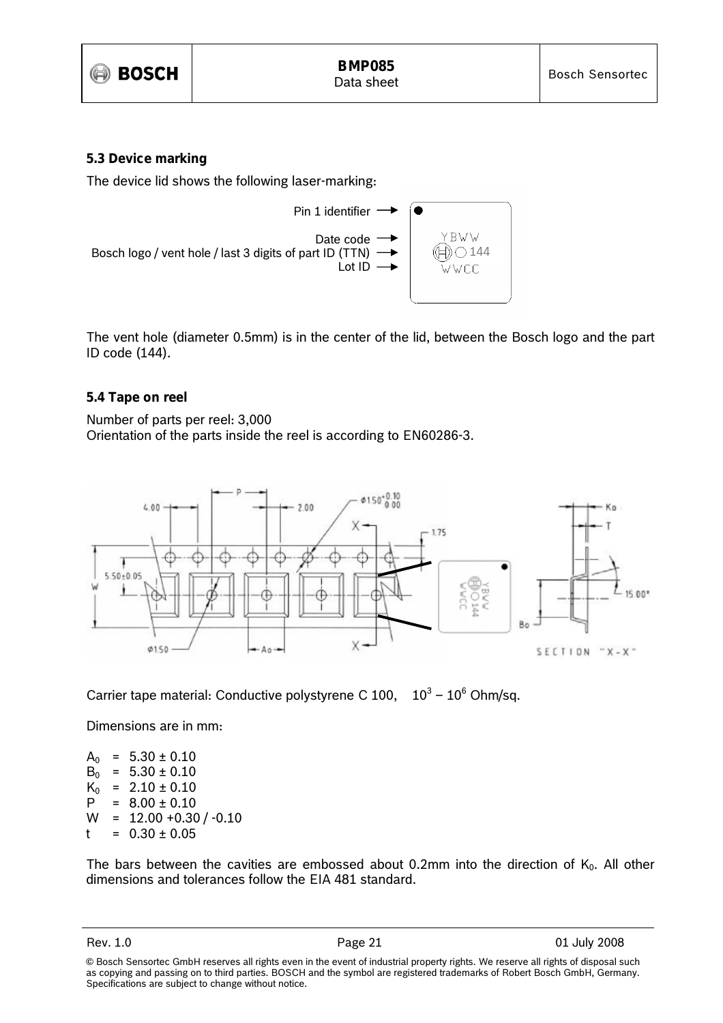

#### **5.3 Device marking**

The device lid shows the following laser-marking:



The vent hole (diameter 0.5mm) is in the center of the lid, between the Bosch logo and the part ID code (144).

#### **5.4 Tape on reel**

Number of parts per reel: 3,000 Orientation of the parts inside the reel is according to EN60286-3.



Carrier tape material: Conductive polystyrene C 100,  $10^3 - 10^6$  Ohm/sq.

Dimensions are in mm:

 $A_0$  = 5.30 ± 0.10  $B_0 = 5.30 \pm 0.10$  $K_0$  = 2.10 ± 0.10  $P = 8.00 \pm 0.10$  $W = 12.00 + 0.30 / -0.10$  $t = 0.30 \pm 0.05$ 

The bars between the cavities are embossed about 0.2mm into the direction of  $K_0$ . All other dimensions and tolerances follow the EIA 481 standard.

<sup>©</sup> Bosch Sensortec GmbH reserves all rights even in the event of industrial property rights. We reserve all rights of disposal such as copying and passing on to third parties. BOSCH and the symbol are registered trademarks of Robert Bosch GmbH, Germany. Specifications are subject to change without notice.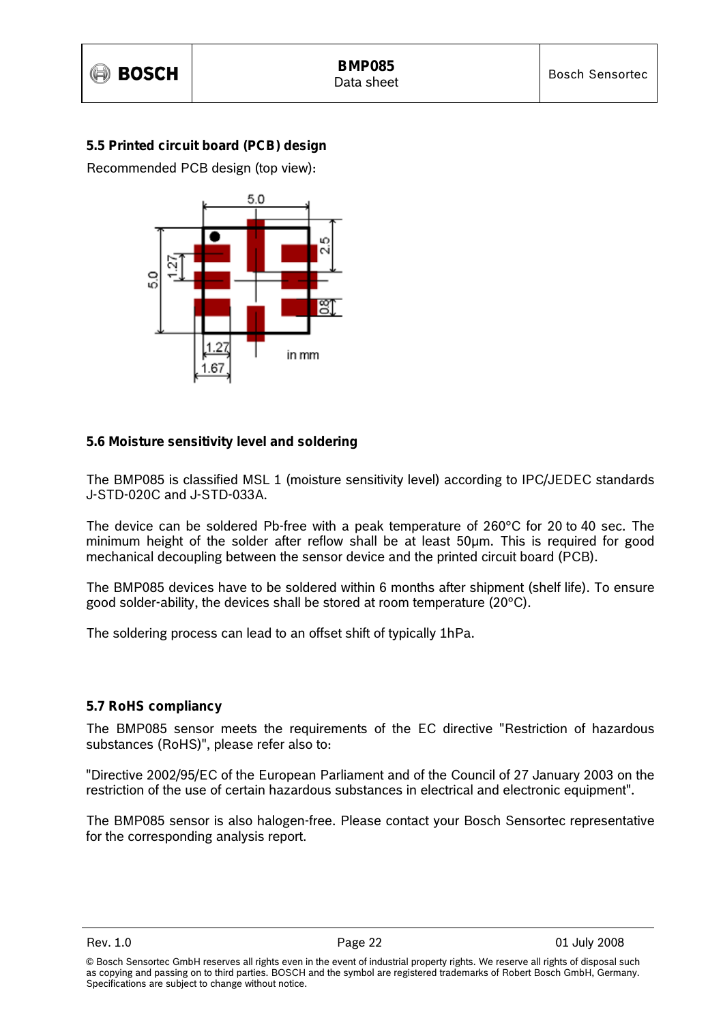## **5.5 Printed circuit board (PCB) design**

Recommended PCB design (top view):



### **5.6 Moisture sensitivity level and soldering**

The BMP085 is classified MSL 1 (moisture sensitivity level) according to IPC/JEDEC standards J-STD-020C and J-STD-033A.

The device can be soldered Pb-free with a peak temperature of 260°C for 20 to 40 sec. The minimum height of the solder after reflow shall be at least 50µm. This is required for good mechanical decoupling between the sensor device and the printed circuit board (PCB).

The BMP085 devices have to be soldered within 6 months after shipment (shelf life). To ensure good solder-ability, the devices shall be stored at room temperature (20°C).

The soldering process can lead to an offset shift of typically 1hPa.

### **5.7 RoHS compliancy**

The BMP085 sensor meets the requirements of the EC directive "Restriction of hazardous substances (RoHS)", please refer also to:

"Directive 2002/95/EC of the European Parliament and of the Council of 27 January 2003 on the restriction of the use of certain hazardous substances in electrical and electronic equipment".

The BMP085 sensor is also halogen-free. Please contact your Bosch Sensortec representative for the corresponding analysis report.

<sup>©</sup> Bosch Sensortec GmbH reserves all rights even in the event of industrial property rights. We reserve all rights of disposal such as copying and passing on to third parties. BOSCH and the symbol are registered trademarks of Robert Bosch GmbH, Germany. Specifications are subject to change without notice.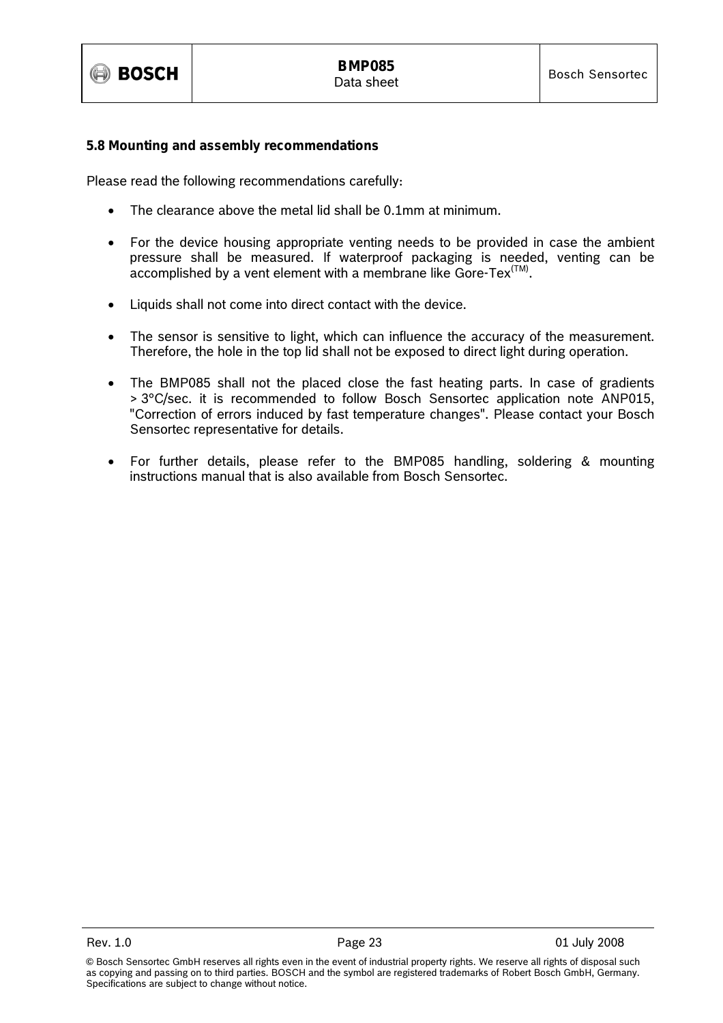

#### **5.8 Mounting and assembly recommendations**

Please read the following recommendations carefully:

- The clearance above the metal lid shall be 0.1mm at minimum.
- For the device housing appropriate venting needs to be provided in case the ambient pressure shall be measured. If waterproof packaging is needed, venting can be  $accomplished$  by a vent element with a membrane like  $G$ ore-Tex $(TM)$ .
- Liquids shall not come into direct contact with the device.
- The sensor is sensitive to light, which can influence the accuracy of the measurement. Therefore, the hole in the top lid shall not be exposed to direct light during operation.
- The BMP085 shall not the placed close the fast heating parts. In case of gradients > 3°C/sec. it is recommended to follow Bosch Sensortec application note ANP015, "Correction of errors induced by fast temperature changes". Please contact your Bosch Sensortec representative for details.
- For further details, please refer to the BMP085 handling, soldering & mounting instructions manual that is also available from Bosch Sensortec.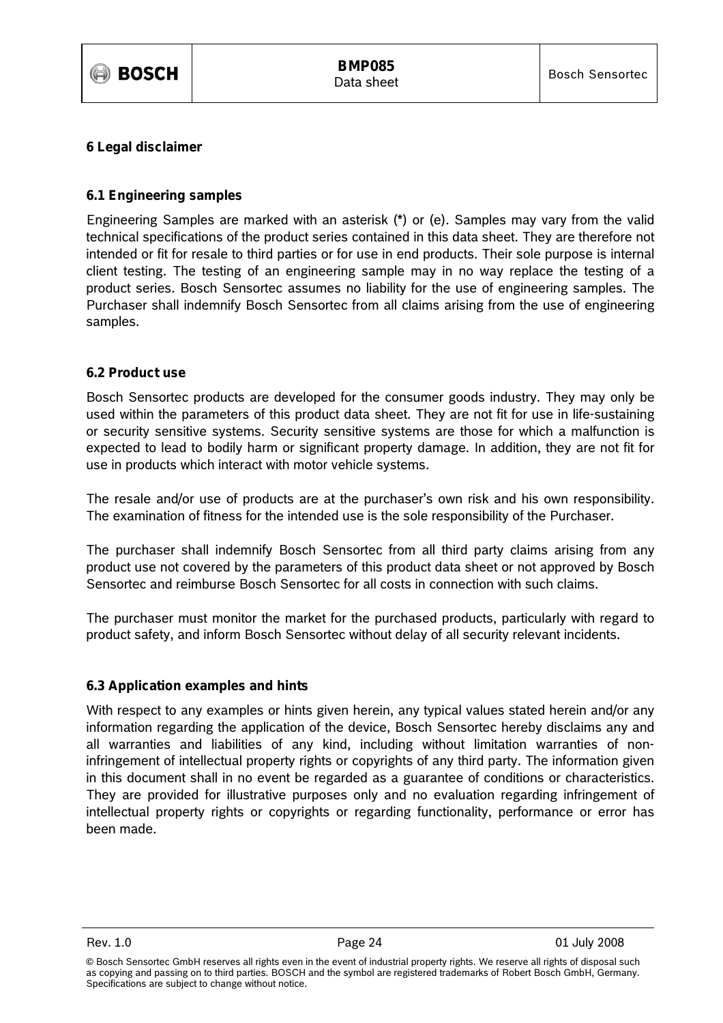

#### **6 Legal disclaimer**

#### **6.1 Engineering samples**

Engineering Samples are marked with an asterisk (\*) or (e). Samples may vary from the valid technical specifications of the product series contained in this data sheet. They are therefore not intended or fit for resale to third parties or for use in end products. Their sole purpose is internal client testing. The testing of an engineering sample may in no way replace the testing of a product series. Bosch Sensortec assumes no liability for the use of engineering samples. The Purchaser shall indemnify Bosch Sensortec from all claims arising from the use of engineering samples.

#### **6.2 Product use**

Bosch Sensortec products are developed for the consumer goods industry. They may only be used within the parameters of this product data sheet. They are not fit for use in life-sustaining or security sensitive systems. Security sensitive systems are those for which a malfunction is expected to lead to bodily harm or significant property damage. In addition, they are not fit for use in products which interact with motor vehicle systems.

The resale and/or use of products are at the purchaser's own risk and his own responsibility. The examination of fitness for the intended use is the sole responsibility of the Purchaser.

The purchaser shall indemnify Bosch Sensortec from all third party claims arising from any product use not covered by the parameters of this product data sheet or not approved by Bosch Sensortec and reimburse Bosch Sensortec for all costs in connection with such claims.

The purchaser must monitor the market for the purchased products, particularly with regard to product safety, and inform Bosch Sensortec without delay of all security relevant incidents.

#### **6.3 Application examples and hints**

With respect to any examples or hints given herein, any typical values stated herein and/or any information regarding the application of the device, Bosch Sensortec hereby disclaims any and all warranties and liabilities of any kind, including without limitation warranties of noninfringement of intellectual property rights or copyrights of any third party. The information given in this document shall in no event be regarded as a guarantee of conditions or characteristics. They are provided for illustrative purposes only and no evaluation regarding infringement of intellectual property rights or copyrights or regarding functionality, performance or error has been made.

<sup>©</sup> Bosch Sensortec GmbH reserves all rights even in the event of industrial property rights. We reserve all rights of disposal such as copying and passing on to third parties. BOSCH and the symbol are registered trademarks of Robert Bosch GmbH, Germany. Specifications are subject to change without notice.